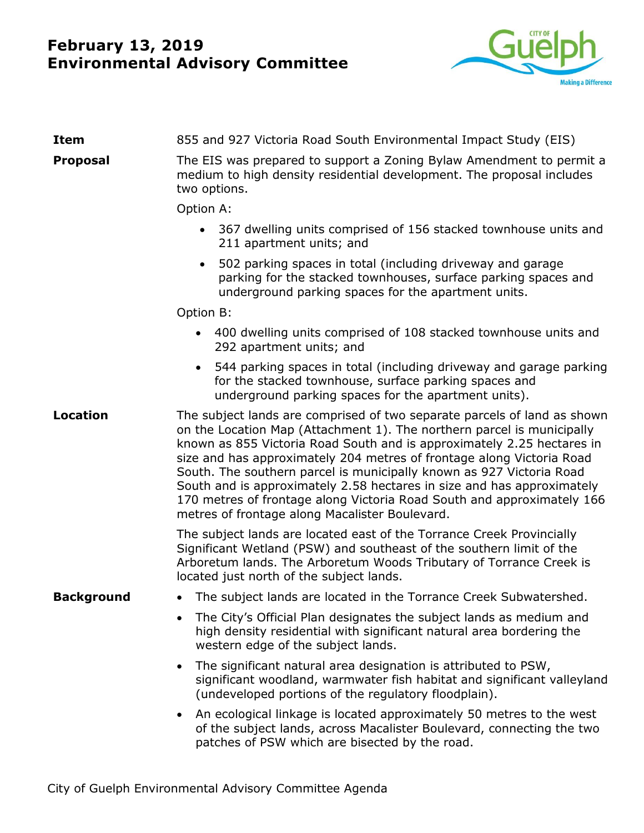# **February 13, 2019 Environmental Advisory Committee**



| <b>Item</b>       | 855 and 927 Victoria Road South Environmental Impact Study (EIS)                                                                                                                                                                                                                                                                                                                                                                                                                                                                                                                    |
|-------------------|-------------------------------------------------------------------------------------------------------------------------------------------------------------------------------------------------------------------------------------------------------------------------------------------------------------------------------------------------------------------------------------------------------------------------------------------------------------------------------------------------------------------------------------------------------------------------------------|
| <b>Proposal</b>   | The EIS was prepared to support a Zoning Bylaw Amendment to permit a<br>medium to high density residential development. The proposal includes<br>two options.                                                                                                                                                                                                                                                                                                                                                                                                                       |
|                   | Option A:                                                                                                                                                                                                                                                                                                                                                                                                                                                                                                                                                                           |
|                   | • 367 dwelling units comprised of 156 stacked townhouse units and<br>211 apartment units; and                                                                                                                                                                                                                                                                                                                                                                                                                                                                                       |
|                   | 502 parking spaces in total (including driveway and garage<br>$\bullet$<br>parking for the stacked townhouses, surface parking spaces and<br>underground parking spaces for the apartment units.                                                                                                                                                                                                                                                                                                                                                                                    |
|                   | Option B:                                                                                                                                                                                                                                                                                                                                                                                                                                                                                                                                                                           |
|                   | 400 dwelling units comprised of 108 stacked townhouse units and<br>$\bullet$<br>292 apartment units; and                                                                                                                                                                                                                                                                                                                                                                                                                                                                            |
|                   | 544 parking spaces in total (including driveway and garage parking<br>$\bullet$<br>for the stacked townhouse, surface parking spaces and<br>underground parking spaces for the apartment units).                                                                                                                                                                                                                                                                                                                                                                                    |
| <b>Location</b>   | The subject lands are comprised of two separate parcels of land as shown<br>on the Location Map (Attachment 1). The northern parcel is municipally<br>known as 855 Victoria Road South and is approximately 2.25 hectares in<br>size and has approximately 204 metres of frontage along Victoria Road<br>South. The southern parcel is municipally known as 927 Victoria Road<br>South and is approximately 2.58 hectares in size and has approximately<br>170 metres of frontage along Victoria Road South and approximately 166<br>metres of frontage along Macalister Boulevard. |
|                   | The subject lands are located east of the Torrance Creek Provincially<br>Significant Wetland (PSW) and southeast of the southern limit of the<br>Arboretum lands. The Arboretum Woods Tributary of Torrance Creek is<br>located just north of the subject lands.                                                                                                                                                                                                                                                                                                                    |
| <b>Background</b> | The subject lands are located in the Torrance Creek Subwatershed.                                                                                                                                                                                                                                                                                                                                                                                                                                                                                                                   |
|                   | The City's Official Plan designates the subject lands as medium and<br>high density residential with significant natural area bordering the<br>western edge of the subject lands.                                                                                                                                                                                                                                                                                                                                                                                                   |
|                   | The significant natural area designation is attributed to PSW,<br>significant woodland, warmwater fish habitat and significant valleyland<br>(undeveloped portions of the regulatory floodplain).                                                                                                                                                                                                                                                                                                                                                                                   |
|                   | An ecological linkage is located approximately 50 metres to the west<br>of the subject lands, across Macalister Boulevard, connecting the two<br>patches of PSW which are bisected by the road.                                                                                                                                                                                                                                                                                                                                                                                     |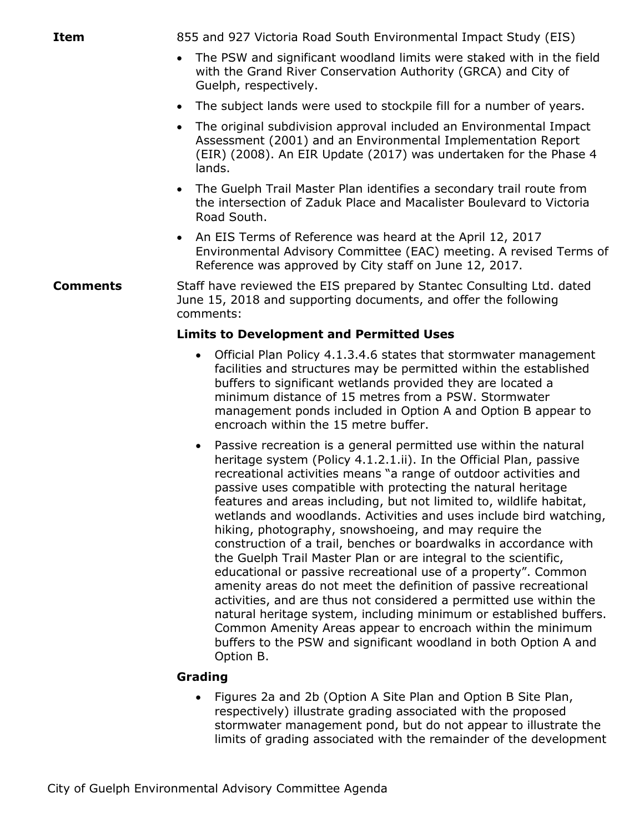- The PSW and significant woodland limits were staked with in the field with the Grand River Conservation Authority (GRCA) and City of Guelph, respectively.
- The subject lands were used to stockpile fill for a number of years.
- The original subdivision approval included an Environmental Impact Assessment (2001) and an Environmental Implementation Report (EIR) (2008). An EIR Update (2017) was undertaken for the Phase 4 lands.
- The Guelph Trail Master Plan identifies a secondary trail route from the intersection of Zaduk Place and Macalister Boulevard to Victoria Road South.
- An EIS Terms of Reference was heard at the April 12, 2017 Environmental Advisory Committee (EAC) meeting. A revised Terms of Reference was approved by City staff on June 12, 2017.

#### **Comments** Staff have reviewed the EIS prepared by Stantec Consulting Ltd. dated June 15, 2018 and supporting documents, and offer the following comments:

### **Limits to Development and Permitted Uses**

- Official Plan Policy 4.1.3.4.6 states that stormwater management facilities and structures may be permitted within the established buffers to significant wetlands provided they are located a minimum distance of 15 metres from a PSW. Stormwater management ponds included in Option A and Option B appear to encroach within the 15 metre buffer.
- Passive recreation is a general permitted use within the natural heritage system (Policy 4.1.2.1.ii). In the Official Plan, passive recreational activities means "a range of outdoor activities and passive uses compatible with protecting the natural heritage features and areas including, but not limited to, wildlife habitat, wetlands and woodlands. Activities and uses include bird watching, hiking, photography, snowshoeing, and may require the construction of a trail, benches or boardwalks in accordance with the Guelph Trail Master Plan or are integral to the scientific, educational or passive recreational use of a property". Common amenity areas do not meet the definition of passive recreational activities, and are thus not considered a permitted use within the natural heritage system, including minimum or established buffers. Common Amenity Areas appear to encroach within the minimum buffers to the PSW and significant woodland in both Option A and Option B.

### **Grading**

 Figures 2a and 2b (Option A Site Plan and Option B Site Plan, respectively) illustrate grading associated with the proposed stormwater management pond, but do not appear to illustrate the limits of grading associated with the remainder of the development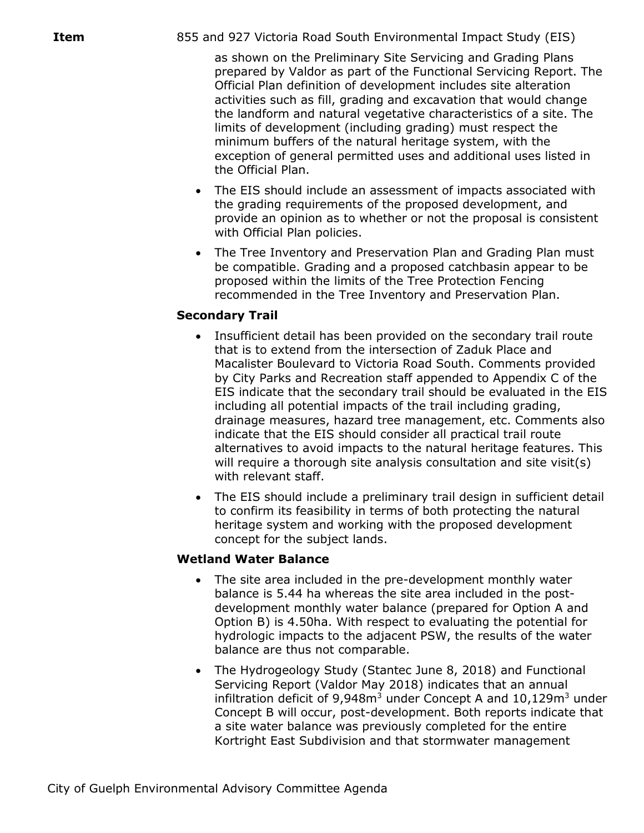as shown on the Preliminary Site Servicing and Grading Plans prepared by Valdor as part of the Functional Servicing Report. The Official Plan definition of development includes site alteration activities such as fill, grading and excavation that would change the landform and natural vegetative characteristics of a site. The limits of development (including grading) must respect the minimum buffers of the natural heritage system, with the exception of general permitted uses and additional uses listed in the Official Plan.

- The EIS should include an assessment of impacts associated with the grading requirements of the proposed development, and provide an opinion as to whether or not the proposal is consistent with Official Plan policies.
- The Tree Inventory and Preservation Plan and Grading Plan must be compatible. Grading and a proposed catchbasin appear to be proposed within the limits of the Tree Protection Fencing recommended in the Tree Inventory and Preservation Plan.

# **Secondary Trail**

- Insufficient detail has been provided on the secondary trail route that is to extend from the intersection of Zaduk Place and Macalister Boulevard to Victoria Road South. Comments provided by City Parks and Recreation staff appended to Appendix C of the EIS indicate that the secondary trail should be evaluated in the EIS including all potential impacts of the trail including grading, drainage measures, hazard tree management, etc. Comments also indicate that the EIS should consider all practical trail route alternatives to avoid impacts to the natural heritage features. This will require a thorough site analysis consultation and site visit(s) with relevant staff.
- The EIS should include a preliminary trail design in sufficient detail to confirm its feasibility in terms of both protecting the natural heritage system and working with the proposed development concept for the subject lands.

### **Wetland Water Balance**

- The site area included in the pre-development monthly water balance is 5.44 ha whereas the site area included in the postdevelopment monthly water balance (prepared for Option A and Option B) is 4.50ha. With respect to evaluating the potential for hydrologic impacts to the adjacent PSW, the results of the water balance are thus not comparable.
- The Hydrogeology Study (Stantec June 8, 2018) and Functional Servicing Report (Valdor May 2018) indicates that an annual infiltration deficit of  $9.948m<sup>3</sup>$  under Concept A and  $10.129m<sup>3</sup>$  under Concept B will occur, post-development. Both reports indicate that a site water balance was previously completed for the entire Kortright East Subdivision and that stormwater management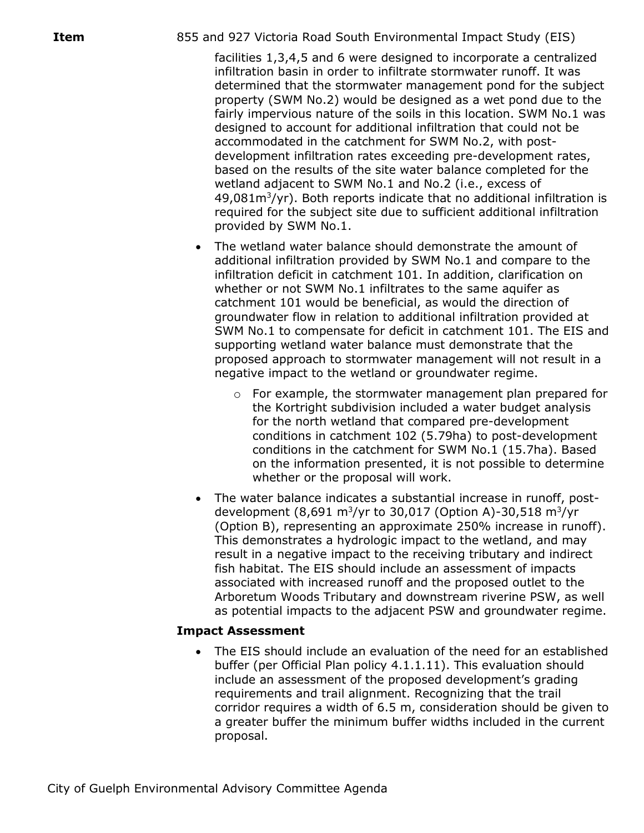facilities 1,3,4,5 and 6 were designed to incorporate a centralized infiltration basin in order to infiltrate stormwater runoff. It was determined that the stormwater management pond for the subject property (SWM No.2) would be designed as a wet pond due to the fairly impervious nature of the soils in this location. SWM No.1 was designed to account for additional infiltration that could not be accommodated in the catchment for SWM No.2, with postdevelopment infiltration rates exceeding pre-development rates, based on the results of the site water balance completed for the wetland adjacent to SWM No.1 and No.2 (i.e., excess of  $49,081m^3$ /yr). Both reports indicate that no additional infiltration is required for the subject site due to sufficient additional infiltration provided by SWM No.1.

- The wetland water balance should demonstrate the amount of additional infiltration provided by SWM No.1 and compare to the infiltration deficit in catchment 101. In addition, clarification on whether or not SWM No.1 infiltrates to the same aquifer as catchment 101 would be beneficial, as would the direction of groundwater flow in relation to additional infiltration provided at SWM No.1 to compensate for deficit in catchment 101. The EIS and supporting wetland water balance must demonstrate that the proposed approach to stormwater management will not result in a negative impact to the wetland or groundwater regime.
	- $\circ$  For example, the stormwater management plan prepared for the Kortright subdivision included a water budget analysis for the north wetland that compared pre-development conditions in catchment 102 (5.79ha) to post-development conditions in the catchment for SWM No.1 (15.7ha). Based on the information presented, it is not possible to determine whether or the proposal will work.
- The water balance indicates a substantial increase in runoff, postdevelopment  $(8,691 \text{ m}^3/\text{yr}$  to 30,017 (Option A)-30,518 m $^3/\text{yr}$ (Option B), representing an approximate 250% increase in runoff). This demonstrates a hydrologic impact to the wetland, and may result in a negative impact to the receiving tributary and indirect fish habitat. The EIS should include an assessment of impacts associated with increased runoff and the proposed outlet to the Arboretum Woods Tributary and downstream riverine PSW, as well as potential impacts to the adjacent PSW and groundwater regime.

### **Impact Assessment**

 The EIS should include an evaluation of the need for an established buffer (per Official Plan policy 4.1.1.11). This evaluation should include an assessment of the proposed development's grading requirements and trail alignment. Recognizing that the trail corridor requires a width of 6.5 m, consideration should be given to a greater buffer the minimum buffer widths included in the current proposal.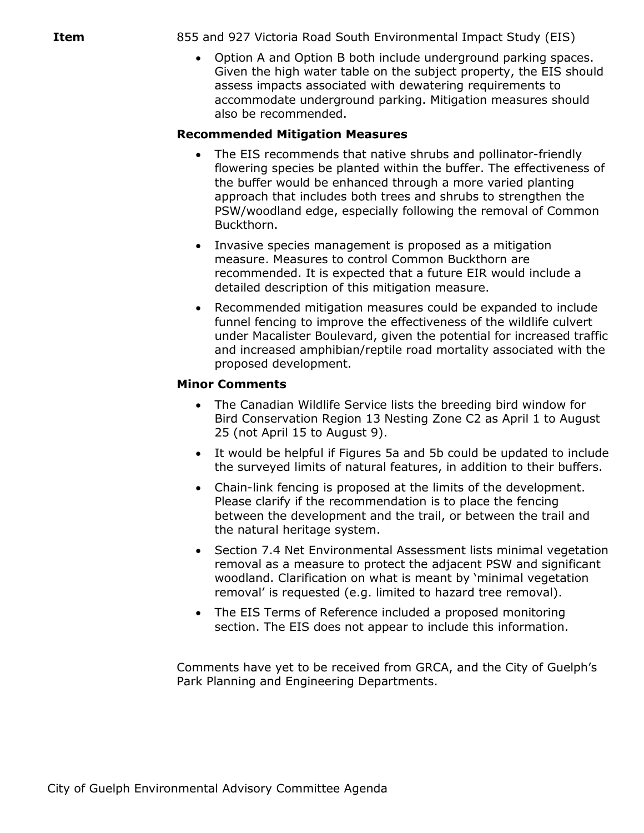Option A and Option B both include underground parking spaces. Given the high water table on the subject property, the EIS should assess impacts associated with dewatering requirements to accommodate underground parking. Mitigation measures should also be recommended.

# **Recommended Mitigation Measures**

- The EIS recommends that native shrubs and pollinator-friendly flowering species be planted within the buffer. The effectiveness of the buffer would be enhanced through a more varied planting approach that includes both trees and shrubs to strengthen the PSW/woodland edge, especially following the removal of Common Buckthorn.
- Invasive species management is proposed as a mitigation measure. Measures to control Common Buckthorn are recommended. It is expected that a future EIR would include a detailed description of this mitigation measure.
- Recommended mitigation measures could be expanded to include funnel fencing to improve the effectiveness of the wildlife culvert under Macalister Boulevard, given the potential for increased traffic and increased amphibian/reptile road mortality associated with the proposed development.

### **Minor Comments**

- The Canadian Wildlife Service lists the breeding bird window for Bird Conservation Region 13 Nesting Zone C2 as April 1 to August 25 (not April 15 to August 9).
- It would be helpful if Figures 5a and 5b could be updated to include the surveyed limits of natural features, in addition to their buffers.
- Chain-link fencing is proposed at the limits of the development. Please clarify if the recommendation is to place the fencing between the development and the trail, or between the trail and the natural heritage system.
- Section 7.4 Net Environmental Assessment lists minimal vegetation removal as a measure to protect the adjacent PSW and significant woodland. Clarification on what is meant by 'minimal vegetation removal' is requested (e.g. limited to hazard tree removal).
- The EIS Terms of Reference included a proposed monitoring section. The EIS does not appear to include this information.

Comments have yet to be received from GRCA, and the City of Guelph's Park Planning and Engineering Departments.